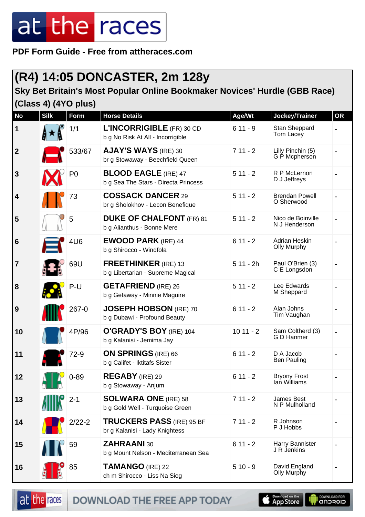**PDF Form Guide - Free from attheraces.com**

#### **(R4) 14:05 DONCASTER, 2m 128y**

#### **Sky Bet Britain's Most Popular Online Bookmaker Novices' Hurdle (GBB Race) (Class 4) (4YO plus)**

| <b>No</b>        | <b>Silk</b> | <b>Form</b>    | <b>Horse Details</b>                                                | Age/Wt     | Jockey/Trainer                      | <b>OR</b> |
|------------------|-------------|----------------|---------------------------------------------------------------------|------------|-------------------------------------|-----------|
| 1                |             | 1/1            | L'INCORRIGIBLE (FR) 30 CD<br>b g No Risk At All - Incorrigible      | $611 - 9$  | Stan Sheppard<br>Tom Lacey          |           |
| $\boldsymbol{2}$ |             | 533/67         | <b>AJAY'S WAYS (IRE) 30</b><br>br g Stowaway - Beechfield Queen     | $711 - 2$  | Lilly Pinchin (5)<br>G P Mcpherson  |           |
| $\mathbf{3}$     |             | P <sub>0</sub> | <b>BLOOD EAGLE (IRE) 47</b><br>b g Sea The Stars - Directa Princess | $511 - 2$  | R P McLernon<br>D J Jeffreys        |           |
| 4                |             | 73             | <b>COSSACK DANCER 29</b><br>br g Sholokhov - Lecon Benefique        | $511 - 2$  | <b>Brendan Powell</b><br>O Sherwood |           |
| 5                |             | 5              | <b>DUKE OF CHALFONT</b> (FR) 81<br>b g Alianthus - Bonne Mere       | $511 - 2$  | Nico de Boinville<br>N J Henderson  |           |
| $6\phantom{1}6$  |             | 4U6            | <b>EWOOD PARK (IRE) 44</b><br>b g Shirocco - Windfola               | $611 - 2$  | Adrian Heskin<br><b>Olly Murphy</b> |           |
| $\overline{7}$   |             | 69U            | <b>FREETHINKER</b> (IRE) 13<br>b g Libertarian - Supreme Magical    | $511 - 2h$ | Paul O'Brien (3)<br>C E Longsdon    |           |
| 8                |             | P-U            | <b>GETAFRIEND</b> (IRE) 26<br>b g Getaway - Minnie Maguire          | $511 - 2$  | Lee Edwards<br>M Sheppard           |           |
| 9                |             | 267-0          | JOSEPH HOBSON (IRE) 70<br>b g Dubawi - Profound Beauty              | $611 - 2$  | Alan Johns<br>Tim Vaughan           |           |
| 10               |             | 4P/96          | O'GRADY'S BOY (IRE) 104<br>b g Kalanisi - Jemima Jay                | $1011 - 2$ | Sam Coltherd (3)<br>G D Hanmer      |           |
| 11               |             | 72-9           | <b>ON SPRINGS</b> (IRE) 66<br>b g Califet - Iktitafs Sister         | $611 - 2$  | D A Jacob<br><b>Ben Pauling</b>     |           |
| 12               | لالك        | $0 - 89$       | <b>REGABY</b> (IRE) 29<br>b g Stowaway - Anjum                      | $611 - 2$  | <b>Bryony Frost</b><br>lan Williams |           |
| 13               |             | $2 - 1$        | <b>SOLWARA ONE (IRE) 58</b><br>b g Gold Well - Turquoise Green      | $711 - 2$  | James Best<br>N P Mulholland        |           |
| 14               |             | $2/22 - 2$     | <b>TRUCKERS PASS (IRE) 95 BF</b><br>br g Kalanisi - Lady Knightess  | $711 - 2$  | R Johnson<br>P J Hobbs              |           |
| 15               |             | 59             | <b>ZAHRAANI 30</b><br>b g Mount Nelson - Mediterranean Sea          | $611 - 2$  | Harry Bannister<br>J R Jenkins      |           |
| 16               |             | 85             | <b>TAMANGO (IRE) 22</b><br>ch m Shirocco - Liss Na Siog             | $510 - 9$  | David England<br>Olly Murphy        |           |



DOWNLOAD THE FREE APP TODAY



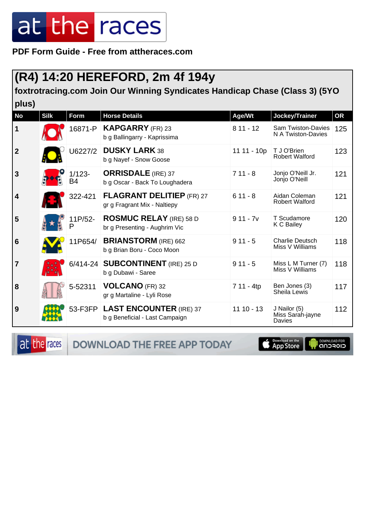**PDF Form Guide - Free from attheraces.com**

#### **(R4) 14:20 HEREFORD, 2m 4f 194y**

**foxtrotracing.com Join Our Winning Syndicates Handicap Chase (Class 3) (5YO plus)**

| <b>No</b>               | <b>Silk</b> | <b>Form</b>            | <b>Horse Details</b>                                              | Age/Wt      | Jockey/Trainer                                  | OR  |
|-------------------------|-------------|------------------------|-------------------------------------------------------------------|-------------|-------------------------------------------------|-----|
| $\mathbf 1$             |             | 16871-P                | <b>KAPGARRY</b> (FR) 23<br>b g Ballingarry - Kaprissima           | $811 - 12$  | <b>Sam Twiston-Davies</b><br>N A Twiston-Davies | 125 |
| $\overline{2}$          |             | U6227/2                | <b>DUSKY LARK 38</b><br>b g Nayef - Snow Goose                    | 11 11 - 10p | T J O'Brien<br><b>Robert Walford</b>            | 123 |
| $\mathbf{3}$            |             | $1/123 -$<br><b>B4</b> | <b>ORRISDALE</b> (IRE) 37<br>b g Oscar - Back To Loughadera       | $711 - 8$   | Jonjo O'Neill Jr.<br>Jonjo O'Neill              | 121 |
| $\overline{\mathbf{4}}$ |             | 322-421                | <b>FLAGRANT DELITIEP (FR) 27</b><br>gr g Fragrant Mix - Naltiepy  | $611 - 8$   | Aidan Coleman<br><b>Robert Walford</b>          | 121 |
| 5                       |             | 11P/52-<br>P           | <b>ROSMUC RELAY (IRE) 58 D</b><br>br g Presenting - Aughrim Vic   | $911 - 7v$  | T Scudamore<br>K C Bailey                       | 120 |
| $6\phantom{1}6$         |             | 11P654/                | <b>BRIANSTORM</b> (IRE) 662<br>b g Brian Boru - Coco Moon         | $911 - 5$   | <b>Charlie Deutsch</b><br>Miss V Williams       | 118 |
| $\overline{7}$          |             |                        | 6/414-24 SUBCONTINENT (IRE) 25 D<br>b g Dubawi - Saree            | $911 - 5$   | Miss L M Turner (7)<br>Miss V Williams          | 118 |
| 8                       |             | 5-52311                | VOLCANO (FR) 32<br>gr g Martaline - Lyli Rose                     | 7 11 - 4tp  | Ben Jones (3)<br>Sheila Lewis                   | 117 |
| 9                       |             |                        | 53-F3FP LAST ENCOUNTER (IRE) 37<br>b g Beneficial - Last Campaign | $1110 - 13$ | J Nailor (5)<br>Miss Sarah-jayne<br>Davies      | 112 |

DOWNLOAD THE FREE APP TODAY

at the races

**Completed on the I DOWNLOAD FOR**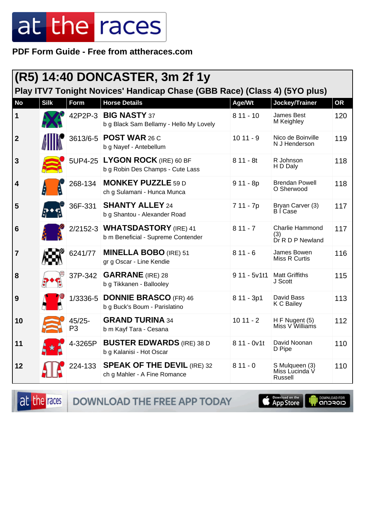**PDF Form Guide - Free from attheraces.com**

| <b>(R5) 14:40 DONCASTER, 3m 2f 1y</b><br>Play ITV7 Tonight Novices' Handicap Chase (GBB Race) (Class 4) (5YO plus) |             |                 |                                                                      |               |                                                   |     |
|--------------------------------------------------------------------------------------------------------------------|-------------|-----------------|----------------------------------------------------------------------|---------------|---------------------------------------------------|-----|
| <b>No</b>                                                                                                          | <b>Silk</b> | <b>Form</b>     | <b>Horse Details</b>                                                 | Age/Wt        | Jockey/Trainer                                    | OR  |
| 1                                                                                                                  |             | 42P2P-3         | <b>BIG NASTY 37</b><br>b g Black Sam Bellamy - Hello My Lovely       | $811 - 10$    | James Best<br>M Keighley                          | 120 |
| $\overline{2}$                                                                                                     |             |                 | 3613/6-5 POST WAR 26 C<br>b g Nayef - Antebellum                     | $1011 - 9$    | Nico de Boinville<br>N J Henderson                | 119 |
| 3                                                                                                                  |             | 5UP4-25         | LYGON ROCK (IRE) 60 BF<br>b g Robin Des Champs - Cute Lass           | $811 - 8t$    | R Johnson<br>H D Daly                             | 118 |
| $\vert$ 4                                                                                                          |             | 268-134         | <b>MONKEY PUZZLE 59 D</b><br>ch g Sulamani - Hunca Munca             | $911 - 8p$    | <b>Brendan Powell</b><br>O Sherwood               | 118 |
| 5                                                                                                                  |             | 36F-331         | <b>SHANTY ALLEY 24</b><br>b g Shantou - Alexander Road               | 7 11 - 7p     | Bryan Carver (3)<br><b>BICase</b>                 | 117 |
| $6\phantom{1}6$                                                                                                    |             |                 | 2/2152-3 WHATSDASTORY (IRE) 41<br>b m Beneficial - Supreme Contender | $811 - 7$     | <b>Charlie Hammond</b><br>(3)<br>Dr R D P Newland | 117 |
| $\overline{7}$                                                                                                     |             | 6241/77         | <b>MINELLA BOBO</b> (IRE) 51<br>gr g Oscar - Line Kendie             | $811 - 6$     | James Bowen<br>Miss R Curtis                      | 116 |
| 8                                                                                                                  |             | 37P-342         | <b>GARRANE</b> (IRE) 28<br>b g Tikkanen - Ballooley                  | $911 - 5v1t1$ | <b>Matt Griffiths</b><br>J Scott                  | 115 |
| 9                                                                                                                  |             | 1/3336-5        | <b>DONNIE BRASCO</b> (FR) 46<br>b g Buck's Boum - Parislatino        | 8 11 - 3p1    | David Bass<br>K C Bailey                          | 113 |
| 10                                                                                                                 |             | $45/25 -$<br>P3 | <b>GRAND TURINA 34</b><br>b m Kayf Tara - Cesana                     | $1011 - 2$    | H F Nugent (5)<br>Miss V Williams                 | 112 |
| 11                                                                                                                 |             | 4-3265P         | <b>BUSTER EDWARDS (IRE) 38 D</b><br>b g Kalanisi - Hot Oscar         | 8 11 - 0v1t   | David Noonan<br>D Pipe                            | 110 |
| 12                                                                                                                 |             | 224-133         | <b>SPEAK OF THE DEVIL (IRE) 32</b><br>ch g Mahler - A Fine Romance   | $811 - 0$     | S Mulqueen (3)<br>Miss Lucinda V<br>Russell       | 110 |

at the races DOWNLOAD THE FREE APP TODAY

App Store DOWNLOAD FOR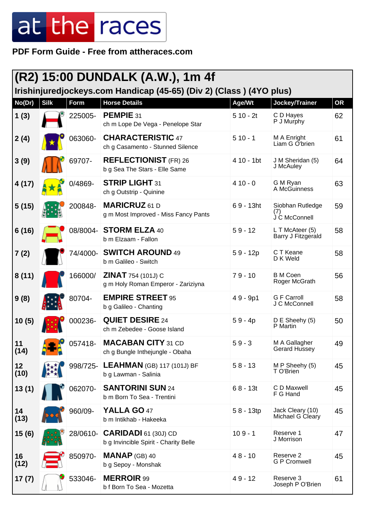**PDF Form Guide - Free from attheraces.com**

|            | (R2) 15:00 DUNDALK (A.W.), 1m 4f<br>Irishinjuredjockeys.com Handicap (45-65) (Div 2) (Class) (4YO plus) |          |                                                                 |                         |                                          |           |  |  |
|------------|---------------------------------------------------------------------------------------------------------|----------|-----------------------------------------------------------------|-------------------------|------------------------------------------|-----------|--|--|
| No(Dr)     | <b>Silk</b>                                                                                             | Form     | <b>Horse Details</b>                                            | Age/Wt                  | Jockey/Trainer                           | <b>OR</b> |  |  |
| 1(3)       |                                                                                                         | 225005-  | PEMPIE 31<br>ch m Lope De Vega - Penelope Star                  | $510 - 2t$              | C D Hayes<br>P J Murphy                  | 62        |  |  |
| 2(4)       |                                                                                                         | 063060-  | <b>CHARACTERISTIC 47</b><br>ch g Casamento - Stunned Silence    | $510 - 1$               | M A Enright<br>Liam G O'brien            | 61        |  |  |
| 3(9)       |                                                                                                         | 69707-   | <b>REFLECTIONIST</b> (FR) 26<br>b g Sea The Stars - Elle Same   | $410 - 1$ <sub>bt</sub> | J M Sheridan (5)<br>J McAuley            | 64        |  |  |
| 4(17)      |                                                                                                         | 0/4869-  | <b>STRIP LIGHT 31</b><br>ch g Outstrip - Quinine                | $410 - 0$               | G M Ryan<br>A McGuinness                 | 63        |  |  |
| 5(15)      |                                                                                                         | 200848-  | <b>MARICRUZ</b> 61 D<br>g m Most Improved - Miss Fancy Pants    | $69 - 13$ ht            | Siobhan Rutledge<br>(7)<br>J C McConnell | 59        |  |  |
| 6(16)      |                                                                                                         | 08/8004- | <b>STORM ELZA 40</b><br>b m Elzaam - Fallon                     | $59 - 12$               | L T McAteer (5)<br>Barry J Fitzgerald    | 58        |  |  |
| 7(2)       |                                                                                                         | 74/4000- | <b>SWITCH AROUND 49</b><br>b m Galileo - Switch                 | $59 - 12p$              | C T Keane<br>D K Weld                    | 58        |  |  |
| 8(11)      |                                                                                                         | 166000/  | <b>ZINAT</b> 754 (101J) C<br>g m Holy Roman Emperor - Zariziyna | $79 - 10$               | <b>B</b> M Coen<br>Roger McGrath         | 56        |  |  |
| 9(8)       |                                                                                                         | 80704-   | <b>EMPIRE STREET 95</b><br>b g Galileo - Chanting               | $49 - 9p1$              | <b>G F Carroll</b><br>J C McConnell      | 58        |  |  |
| 10(5)      |                                                                                                         | 000236-  | <b>QUIET DESIRE 24</b><br>ch m Zebedee - Goose Island           | $59 - 4p$               | D E Sheehy (5)<br>P Martin               | 50        |  |  |
| 11<br>(14) |                                                                                                         | 057418-  | <b>MACABAN CITY 31 CD</b><br>ch g Bungle Inthejungle - Obaha    | $59 - 3$                | M A Gallagher<br><b>Gerard Hussey</b>    | 49        |  |  |
| 12<br>(10) |                                                                                                         | 998/725- | <b>LEAHMAN</b> (GB) 117 (101J) BF<br>b g Lawman - Salinia       | $58 - 13$               | M P Sheehy (5)<br>T O'Brien              | 45        |  |  |
| 13(1)      |                                                                                                         | 062070-  | <b>SANTORINI SUN 24</b><br>b m Born To Sea - Trentini           | $68 - 13t$              | C D Maxwell<br>F G Hand                  | 45        |  |  |
| 14<br>(13) |                                                                                                         | 960/09-  | YALLA GO 47<br>b m Intikhab - Hakeeka                           | $58 - 13tp$             | Jack Cleary (10)<br>Michael G Cleary     | 45        |  |  |
| 15(6)      |                                                                                                         | 28/0610- | $CARIDADI$ 61 (30J) CD<br>b g Invincible Spirit - Charity Belle | $109 - 1$               | Reserve 1<br>J Morrison                  | 47        |  |  |
| 16<br>(12) |                                                                                                         | 850970-  | <b>MANAP</b> (GB) 40<br>b g Sepoy - Monshak                     | $48 - 10$               | Reserve 2<br><b>G P Cromwell</b>         | 45        |  |  |
| 17(7)      |                                                                                                         | 533046-  | <b>MERROIR 99</b><br>b f Born To Sea - Mozetta                  | $49 - 12$               | Reserve 3<br>Joseph P O'Brien            | 61        |  |  |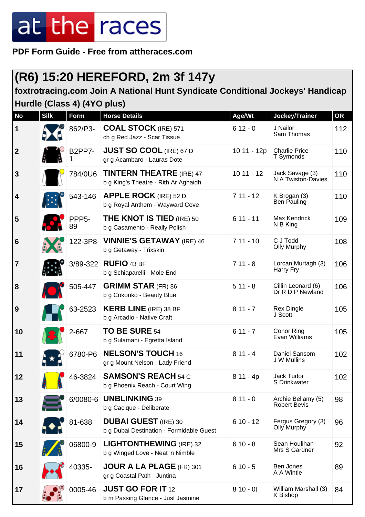**PDF Form Guide - Free from attheraces.com**

#### **(R6) 15:20 HEREFORD, 2m 3f 147y**

**foxtrotracing.com Join A National Hunt Syndicate Conditional Jockeys' Handicap Hurdle (Class 4) (4YO plus)**

| <b>No</b>               | <b>Silk</b> | <b>Form</b>              | <b>Horse Details</b>                                                    | Age/Wt      | Jockey/Trainer                            | <b>OR</b> |
|-------------------------|-------------|--------------------------|-------------------------------------------------------------------------|-------------|-------------------------------------------|-----------|
| $\mathbf 1$             |             | 862/P3-                  | <b>COAL STOCK (IRE) 571</b><br>ch g Red Jazz - Scar Tissue              | $612 - 0$   | J Nailor<br>Sam Thomas                    | 112       |
| $\boldsymbol{2}$        |             | <b>B2PP7-</b>            | <b>JUST SO COOL (IRE) 67 D</b><br>gr g Acambaro - Lauras Dote           | 10 11 - 12p | <b>Charlie Price</b><br>T Symonds         | 110       |
| $\mathbf{3}$            |             | 784/0U6                  | <b>TINTERN THEATRE (IRE) 47</b><br>b g King's Theatre - Rith Ar Aghaidh | $1011 - 12$ | Jack Savage (3)<br>N A Twiston-Davies     | 110       |
| $\overline{\mathbf{4}}$ |             | 543-146                  | <b>APPLE ROCK (IRE) 52 D</b><br>b g Royal Anthem - Wayward Cove         | $711 - 12$  | K Brogan (3)<br><b>Ben Pauling</b>        | 110       |
| 5                       |             | PPP <sub>5</sub> -<br>89 | <b>THE KNOT IS TIED (IRE) 50</b><br>b g Casamento - Really Polish       | $611 - 11$  | Max Kendrick<br>N B King                  | 109       |
| $6\phantom{1}6$         |             | 122-3P8                  | <b>VINNIE'S GETAWAY</b> (IRE) 46<br>b g Getaway - Trixskin              | $711 - 10$  | C J Todd<br><b>Olly Murphy</b>            | 108       |
| $\overline{7}$          |             | 3/89-322                 | <b>RUFIO 43 BF</b><br>b g Schiaparelli - Mole End                       | $711 - 8$   | Lorcan Murtagh (3)<br>Harry Fry           | 106       |
| 8                       |             | 505-447                  | <b>GRIMM STAR (FR) 86</b><br>b g Cokoriko - Beauty Blue                 | $511 - 8$   | Cillin Leonard (6)<br>Dr R D P Newland    | 106       |
| 9                       |             | 63-2523                  | <b>KERB LINE</b> (IRE) 38 BF<br>b g Arcadio - Native Craft              | $811 - 7$   | <b>Rex Dingle</b><br>J Scott              | 105       |
| 10                      |             | 2-667                    | <b>TO BE SURE 54</b><br>b g Sulamani - Egretta Island                   | $611 - 7$   | Conor Ring<br>Evan Williams               | 105       |
| 11                      |             | 6780-P6                  | <b>NELSON'S TOUCH 16</b><br>gr g Mount Nelson - Lady Friend             | $811 - 4$   | Daniel Sansom<br>J W Mullins              | 102       |
| 12                      | 8 B         | 46-3824                  | <b>SAMSON'S REACH 54 C</b><br>b g Phoenix Reach - Court Wing            | $811 - 4p$  | Jack Tudor<br>S Drinkwater                | 102       |
| 13                      |             | 6/0080-6                 | <b>UNBLINKING 39</b><br>b g Cacique - Deliberate                        | $811 - 0$   | Archie Bellamy (5)<br><b>Robert Bevis</b> | 98        |
| 14                      |             | 81-638                   | <b>DUBAI GUEST</b> (IRE) 30<br>b g Dubai Destination - Formidable Guest | $610 - 12$  | Fergus Gregory (3)<br>Olly Murphy         | 96        |
| 15                      |             | 06800-9                  | <b>LIGHTONTHEWING (IRE) 32</b><br>b g Winged Love - Neat 'n Nimble      | $610 - 8$   | Sean Houlihan<br>Mrs S Gardner            | 92        |
| 16                      |             | 40335-                   | JOUR A LA PLAGE (FR) 301<br>gr g Coastal Path - Juntina                 | $610 - 5$   | Ben Jones<br>A A Wintle                   | 89        |
| 17                      |             | 0005-46                  | <b>JUST GO FOR IT 12</b><br>b m Passing Glance - Just Jasmine           | $810 - 0t$  | William Marshall (3)<br>K Bishop          | 84        |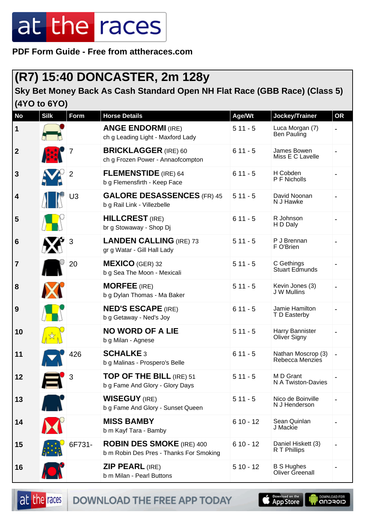**PDF Form Guide - Free from attheraces.com**

#### **(R7) 15:40 DONCASTER, 2m 128y**

#### **Sky Bet Money Back As Cash Standard Open NH Flat Race (GBB Race) (Class 5) (4YO to 6YO)**

| No               | <b>Silk</b> | <b>Form</b>    | <b>Horse Details</b>                                                        | Age/Wt     | Jockey/Trainer                        | <b>OR</b> |
|------------------|-------------|----------------|-----------------------------------------------------------------------------|------------|---------------------------------------|-----------|
| 1                |             |                | <b>ANGE ENDORMI (IRE)</b><br>ch g Leading Light - Maxford Lady              | $511 - 5$  | Luca Morgan (7)<br>Ben Pauling        |           |
| $\boldsymbol{2}$ | 蘇           |                | <b>BRICKLAGGER (IRE) 60</b><br>ch g Frozen Power - Annaofcompton            | $611 - 5$  | James Bowen<br>Miss E C Lavelle       |           |
| $\mathbf{3}$     |             | 2              | <b>FLEMENSTIDE</b> (IRE) 64<br>b g Flemensfirth - Keep Face                 | $611 - 5$  | H Cobden<br>P F Nicholls              |           |
| 4                |             | U <sub>3</sub> | <b>GALORE DESASSENCES</b> (FR) 45<br>b g Rail Link - Villezbelle            | $511 - 5$  | David Noonan<br>N J Hawke             |           |
| 5                |             |                | <b>HILLCREST</b> (IRE)<br>br g Stowaway - Shop Dj                           | $611 - 5$  | R Johnson<br>H D Daly                 |           |
| $6\phantom{1}6$  |             |                | <b>LANDEN CALLING (IRE) 73</b><br>gr g Watar - Gill Hall Lady               | $511 - 5$  | P J Brennan<br>F O'Brien              |           |
| $\overline{7}$   |             | 20             | <b>MEXICO</b> (GER) 32<br>b g Sea The Moon - Mexicali                       | $511 - 5$  | C Gethings<br><b>Stuart Edmunds</b>   |           |
| 8                |             |                | <b>MORFEE</b> (IRE)<br>b g Dylan Thomas - Ma Baker                          | $511 - 5$  | Kevin Jones (3)<br>J W Mullins        |           |
| 9                |             |                | <b>NED'S ESCAPE (IRE)</b><br>b g Getaway - Ned's Joy                        | $611 - 5$  | Jamie Hamilton<br>T D Easterby        |           |
| 10               |             |                | <b>NO WORD OF A LIE</b><br>b g Milan - Agnese                               | $511 - 5$  | Harry Bannister<br>Oliver Signy       |           |
| 11               |             | 426            | <b>SCHALKE 3</b><br>b g Malinas - Prospero's Belle                          | $611 - 5$  | Nathan Moscrop (3)<br>Rebecca Menzies |           |
| 12               | —           | 3              | TOP OF THE BILL (IRE) 51<br>b g Fame And Glory - Glory Days                 | $511 - 5$  | M D Grant<br>N A Twiston-Davies       |           |
| 13               | A N         |                | <b>WISEGUY</b> (IRE)<br>b g Fame And Glory - Sunset Queen                   | $511 - 5$  | Nico de Boinville<br>N J Henderson    |           |
| 14               |             |                | <b>MISS BAMBY</b><br>b m Kayf Tara - Bamby                                  | $610 - 12$ | Sean Quinlan<br>J Mackie              |           |
| 15               |             | 6F731-         | <b>ROBIN DES SMOKE</b> (IRE) 400<br>b m Robin Des Pres - Thanks For Smoking | $610 - 12$ | Daniel Hiskett (3)<br>R T Phillips    |           |
| 16               |             |                | <b>ZIP PEARL (IRE)</b><br>b m Milan - Pearl Buttons                         | $510 - 12$ | <b>B S Hughes</b><br>Oliver Greenall  |           |

DOWNLOAD THE FREE APP TODAY



**I DOWNLOAD FOR**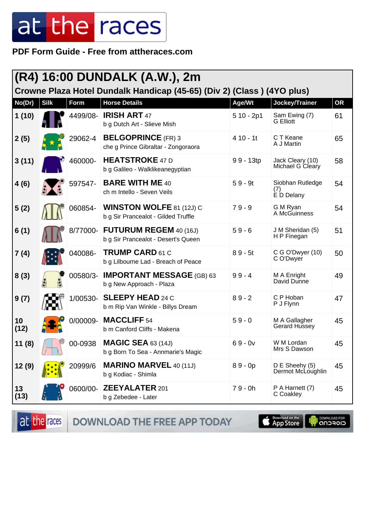**PDF Form Guide - Free from attheraces.com**

|            | (R4) 16:00 DUNDALK (A.W.), 2m<br>Crowne Plaza Hotel Dundalk Handicap (45-65) (Div 2) (Class) (4YO plus) |          |                                                                        |             |                                       |           |
|------------|---------------------------------------------------------------------------------------------------------|----------|------------------------------------------------------------------------|-------------|---------------------------------------|-----------|
| No(Dr)     | <b>Silk</b>                                                                                             | Form     | <b>Horse Details</b>                                                   | Age/Wt      | Jockey/Trainer                        | <b>OR</b> |
| 1(10)      |                                                                                                         | 4499/08- | <b>IRISH ART 47</b><br>b g Dutch Art - Slieve Mish                     | $510 - 2p1$ | Sam Ewing (7)<br><b>G</b> Elliott     | 61        |
| 2(5)       |                                                                                                         | 29062-4  | <b>BELGOPRINCE</b> (FR) 3<br>che g Prince Gibraltar - Zongoraora       | $410 - 11$  | C T Keane<br>A J Martin               | 65        |
| 3(11)      |                                                                                                         | 460000-  | <b>HEATSTROKE 47 D</b><br>b g Galileo - Walklikeanegyptian             | 99 - 13tp   | Jack Cleary (10)<br>Michael G Cleary  | 58        |
| 4(6)       |                                                                                                         | 597547-  | <b>BARE WITH ME 40</b><br>ch m Intello - Seven Veils                   | $59 - 9t$   | Siobhan Rutledge<br>(7)<br>È D Delany | 54        |
| 5(2)       |                                                                                                         | 060854-  | <b>WINSTON WOLFE 81 (12J) C</b><br>b g Sir Prancealot - Gilded Truffle | $79 - 9$    | G M Ryan<br>A McGuinness              | 54        |
| 6(1)       |                                                                                                         | 8/77000- | <b>FUTURUM REGEM 40 (16J)</b><br>b g Sir Prancealot - Desert's Queen   | $59 - 6$    | J M Sheridan (5)<br>H P Finegan       | 51        |
| 7 (4)      |                                                                                                         | 040086-  | <b>TRUMP CARD 61 C</b><br>b g Lilbourne Lad - Breach of Peace          | $89 - 5t$   | C G O'Dwyer (10)<br>C O'Dwyer         | 50        |
| 8(3)       |                                                                                                         | 00580/3- | <b>IMPORTANT MESSAGE (GB) 63</b><br>b g New Approach - Plaza           | $99 - 4$    | M A Enright<br>David Dunne            | 49        |
| 9(7)       |                                                                                                         | 1/00530- | <b>SLEEPY HEAD 24 C</b><br>b m Rip Van Winkle - Billys Dream           | $89 - 2$    | C P Hoban<br>P J Flynn                | 47        |
| 10<br>(12) |                                                                                                         | 0/00009- | MACCLIFF <sub>54</sub><br>b m Canford Cliffs - Makena                  | $59 - 0$    | M A Gallagher<br>Gerard Hussey        | 45        |
| 11(8)      |                                                                                                         | 00-0938  | <b>MAGIC SEA 63 (14J)</b><br>b g Born To Sea - Annmarie's Magic        | $69 - 0v$   | W M Lordan<br>Mrs S Dawson            | 45        |
| 12 (9)     |                                                                                                         | 20999/6  | <b>MARINO MARVEL 40 (11J)</b><br>b g Kodiac - Shimla                   | $89 - 0p$   | D E Sheehy (5)<br>Dermot McLoughlin   | 45        |
| 13<br>(13) |                                                                                                         | 0600/00- | <b>ZEEYALATER 201</b><br>b g Zebedee - Later                           | $79 - 0h$   | P A Harnett (7)<br>C Coakley          | 45        |

DOWNLOAD THE FREE APP TODAY at the races

App Store **OOWNLOAD FOR** T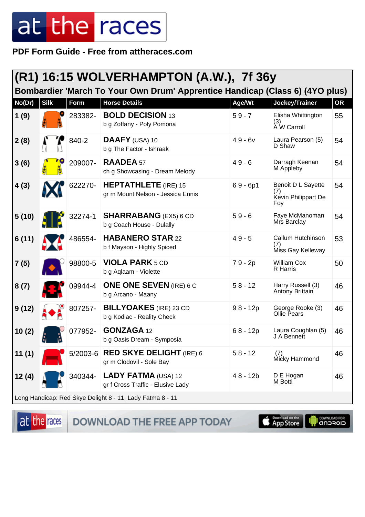**PDF Form Guide - Free from attheraces.com**

|        | (R1) 16:15 WOLVERHAMPTON (A.W.), 7f 36y |         |                                                                              |            |                                                         |           |  |
|--------|-----------------------------------------|---------|------------------------------------------------------------------------------|------------|---------------------------------------------------------|-----------|--|
|        |                                         |         | Bombardier 'March To Your Own Drum' Apprentice Handicap (Class 6) (4YO plus) |            |                                                         |           |  |
| No(Dr) | <b>Silk</b>                             | Form    | <b>Horse Details</b>                                                         | Age/Wt     | Jockey/Trainer                                          | <b>OR</b> |  |
| 1(9)   |                                         | 283382- | <b>BOLD DECISION 13</b><br>b g Zoffany - Poly Pomona                         | $59 - 7$   | Elisha Whittington<br>(3)<br>À W Carroll                | 55        |  |
| 2(8)   |                                         | 840-2   | DAAFY (USA) 10<br>b g The Factor - Ishraak                                   | $49 - 6v$  | Laura Pearson (5)<br>D Shaw                             | 54        |  |
| 3(6)   |                                         | 209007- | <b>RAADEA 57</b><br>ch g Showcasing - Dream Melody                           | $49 - 6$   | Darragh Keenan<br>M Appleby                             | 54        |  |
| 4(3)   |                                         | 622270- | <b>HEPTATHLETE</b> (IRE) 15<br>gr m Mount Nelson - Jessica Ennis             | $69 - 6p1$ | Benoit D L Sayette<br>(7)<br>Kevin Philippart De<br>Foy | 54        |  |
| 5(10)  |                                         | 32274-1 | <b>SHARRABANG</b> (EX5) 6 CD<br>b g Coach House - Dulally                    | $59 - 6$   | Faye McManoman<br>Mrs Barclay                           | 54        |  |
| 6(11)  |                                         | 486554- | <b>HABANERO STAR 22</b><br>b f Mayson - Highly Spiced                        | $49 - 5$   | Callum Hutchinson<br>(7)<br>Miss Gay Kelleway           | 53        |  |
| 7(5)   |                                         | 98800-5 | <b>VIOLA PARK 5 CD</b><br>b g Aqlaam - Violette                              | 79 - 2p    | <b>William Cox</b><br>R Harris                          | 50        |  |
| 8(7)   |                                         | 09944-4 | <b>ONE ONE SEVEN (IRE) 6 C</b><br>b g Arcano - Maany                         | $58 - 12$  | Harry Russell (3)<br>Antony Brittain                    | 46        |  |
| 9(12)  |                                         | 807257- | <b>BILLYOAKES</b> (IRE) 23 CD<br>b g Kodiac - Reality Check                  | $98 - 12p$ | George Rooke (3)<br><b>Ollie Pears</b>                  | 46        |  |
| 10(2)  |                                         | 077952- | <b>GONZAGA 12</b><br>b g Oasis Dream - Symposia                              | $68 - 12p$ | Laura Coughlan (5)<br>J A Bennett                       | 46        |  |
| 11(1)  |                                         |         | 5/2003-6 RED SKYE DELIGHT (IRE) 6<br>gr m Clodovil - Sole Bay                | $58 - 12$  | (7)<br>Micky Hammond                                    | 46        |  |
| 12(4)  |                                         | 340344- | LADY FATMA (USA) 12<br>gr f Cross Traffic - Elusive Lady                     | $48 - 12b$ | D E Hogan<br>M Botti                                    | 46        |  |
|        |                                         |         |                                                                              |            |                                                         |           |  |

Long Handicap: Red Skye Delight 8 - 11, Lady Fatma 8 - 11

at the races

DOWNLOAD THE FREE APP TODAY

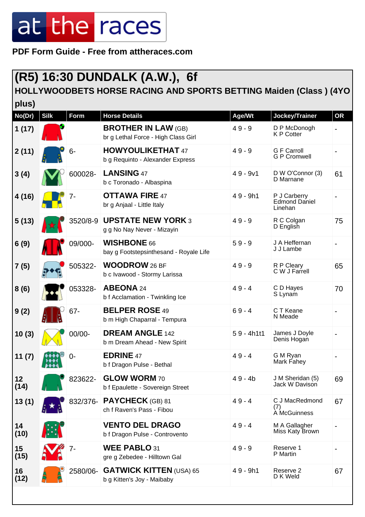**PDF Form Guide - Free from attheraces.com**

### **(R5) 16:30 DUNDALK (A.W.), 6f**

#### **HOLLYWOODBETS HORSE RACING AND SPORTS BETTING Maiden (Class ) (4YO**

| plus)      |             |             |                                                                   |              |                                                 |           |
|------------|-------------|-------------|-------------------------------------------------------------------|--------------|-------------------------------------------------|-----------|
| No(Dr)     | <b>Silk</b> | <b>Form</b> | <b>Horse Details</b>                                              | Age/Wt       | Jockey/Trainer                                  | <b>OR</b> |
| 1(17)      |             |             | <b>BROTHER IN LAW (GB)</b><br>br g Lethal Force - High Class Girl | $49 - 9$     | D P McDonogh<br><b>K P Cotter</b>               |           |
| 2(11)      |             | $6-$        | <b>HOWYOULIKETHAT 47</b><br>b g Requinto - Alexander Express      | $49 - 9$     | <b>G F Carroll</b><br><b>G P Cromwell</b>       |           |
| 3(4)       |             | 600028-     | <b>LANSING 47</b><br>b c Toronado - Albaspina                     | $49 - 9v1$   | D W O'Connor (3)<br>D Marnane                   | 61        |
| 4(16)      |             | 7-          | <b>OTTAWA FIRE 47</b><br>br g Anjaal - Little Italy               | $49 - 9h1$   | P J Carberry<br><b>Edmond Daniel</b><br>Linehan |           |
| 5(13)      |             | 3520/8-9    | <b>UPSTATE NEW YORK 3</b><br>g g No Nay Never - Mizayin           | $49 - 9$     | R C Colgan<br>D English                         | 75        |
| 6(9)       |             | 09/000-     | <b>WISHBONE 66</b><br>bay g Footstepsinthesand - Royale Life      | $59 - 9$     | J A Heffernan<br>J J Lambe                      |           |
| 7(5)       |             | 505322-     | <b>WOODROW</b> 26 BF<br>b c Ivawood - Stormy Larissa              | $49 - 9$     | R P Cleary<br>C W J Farrell                     | 65        |
| 8(6)       |             | 053328-     | ABEONA 24<br>b f Acclamation - Twinkling Ice                      | $49 - 4$     | C D Hayes<br>S Lynam                            | 70        |
| 9(2)       |             | $67 -$      | <b>BELPER ROSE 49</b><br>b m High Chaparral - Tempura             | $69 - 4$     | C T Keane<br>N Meade                            |           |
| 10(3)      |             | 00/00-      | <b>DREAM ANGLE 142</b><br>b m Dream Ahead - New Spirit            | $59 - 4h1t1$ | James J Doyle<br>Denis Hogan                    |           |
| 11(7)      |             | ი-          | <b>EDRINE 47</b><br>b f Dragon Pulse - Bethal                     | $49 - 4$     | G M Ryan<br>Mark Fahey                          |           |
| 12<br>(14) |             | 823622-     | <b>GLOW WORM 70</b><br>b f Epaulette - Sovereign Street           | $49 - 4b$    | J M Sheridan (5)<br>Jack W Davison              | 69        |
| 13(1)      |             | 832/376-    | <b>PAYCHECK</b> (GB) 81<br>ch f Raven's Pass - Fibou              | $49 - 4$     | C J MacRedmond<br>(7)<br>À McGuinness           | 67        |
| 14<br>(10) |             |             | <b>VENTO DEL DRAGO</b><br>b f Dragon Pulse - Controvento          | $49 - 4$     | M A Gallagher<br>Miss Katy Brown                |           |
| 15<br>(15) |             | 7-          | WEE PABLO 31<br>gre g Zebedee - Hilltown Gal                      | $49 - 9$     | Reserve 1<br>P Martin                           |           |
| 16<br>(12) |             | 2580/06-    | <b>GATWICK KITTEN (USA) 65</b><br>b g Kitten's Joy - Maibaby      | 49 - 9h1     | Reserve 2<br>D K Weld                           | 67        |
|            |             |             |                                                                   |              |                                                 |           |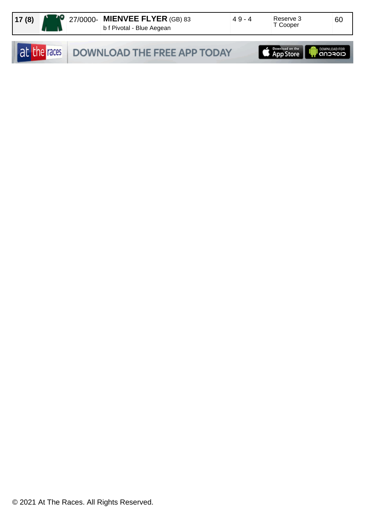| 17(8) |  | $\blacksquare$ 27/0000- MIENVEE FLYER (GB) 83<br>b f Pivotal - Blue Aegean | 49-4 | Reserve 3<br>T Cooper | 60 |
|-------|--|----------------------------------------------------------------------------|------|-----------------------|----|
|       |  |                                                                            |      |                       |    |

|  | at the races DOWNLOAD THE FREE APP TODAY | App Store <b>App Store</b> |  |
|--|------------------------------------------|----------------------------|--|
|--|------------------------------------------|----------------------------|--|